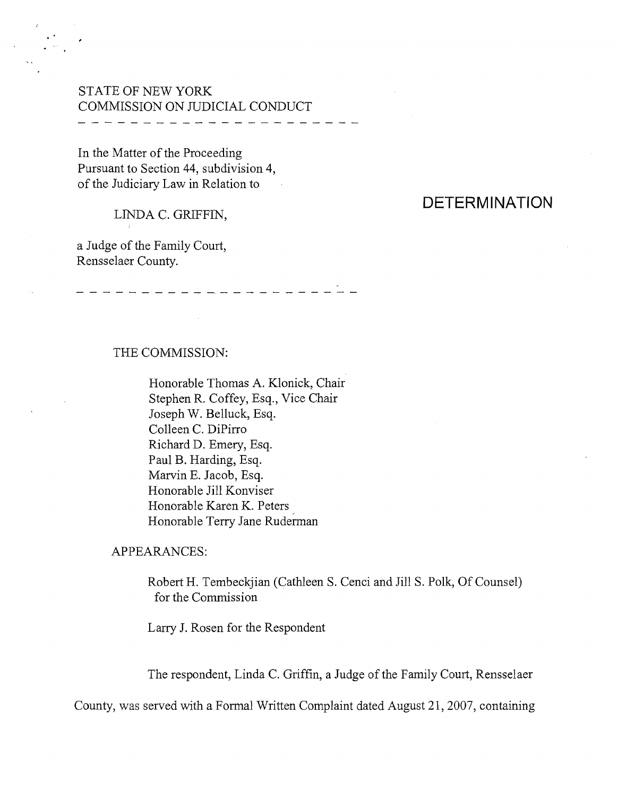## STATE OF NEW YORK COMMISSION ON JUDICIAL CONDUCT \_ \_ \_ \_ \_ \_ \_ \_ \_ *\_ \_ \_* \_ \_ \_ \_ \_

In the Matter of the Proceeding Pursuant to Section 44, subdivision 4, of the Judiciary Law in Relation to

# LINDA C. GRIFFIN,

a Judge of the Family Court, Rensselaer County.

# **DETERMINATION**

#### THE COMMISSION:

Honorable Thomas A. Klonick, Chair Stephen R. Coffey, Esq., Vice Chair Joseph W. Belluck, Esq. Colleen C. DiPirro Richard D. Emery, Esq. Paul B. Harding, Esq. Marvin E. Jacob, Esq. Honorable Jill Konviser Honorable Karen K. Peters Honorable Terry Jane Ruderman

-------------------

#### APPEARANCES:

Robert H. Tembeckjian (Cathleen S. Cenci and Jill S. Polk, Of Counsel) for the Commission

Larry J. Rosen for the Respondent

The respondent, Linda C. Griffin, a Judge of the Family Court, Rensselaer

County, was served with a Formal Written Complaint dated August 21,2007, containing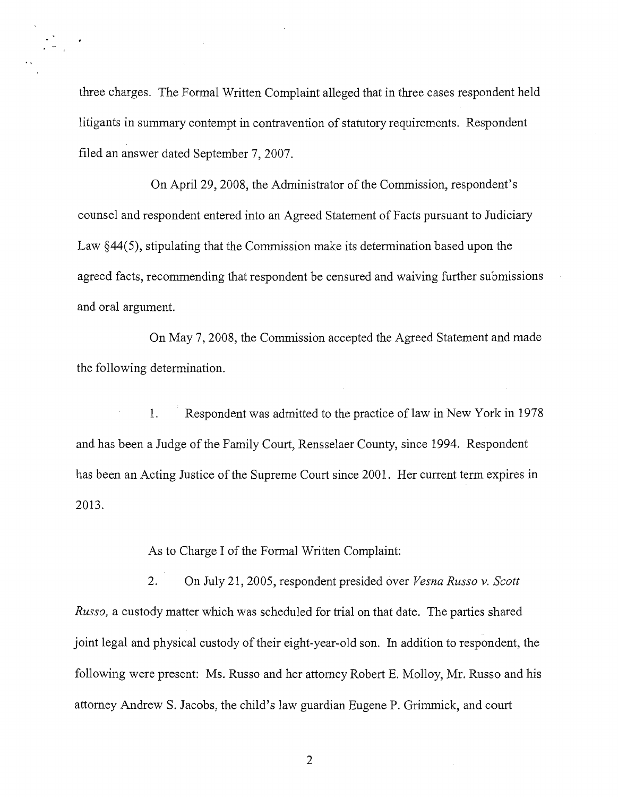three charges. The Formal Written Complaint alleged that in three cases respondent held litigants in summary contempt in contravention of statutory requirements. Respondent filed an answer dated September 7, 2007.

On April 29, 2008, the Administrator of the Commission, respondent's counsel and respondent entered into an Agreed Statement of Facts pursuant to Judiciary Law  $\S 44(5)$ , stipulating that the Commission make its determination based upon the agreed facts, recommending that respondent be censured and waiving further submissions and oral argument.

On May 7, 2008, the Commission accepted the Agreed Statement and made the following determination.

1. Respondent was admitted to the practice of law in New York in 1978 and has been a Judge of the Family Court, Rensselaer County, since 1994. Respondent has been an Acting Justice of the Supreme Court since 2001. Her current term expires in 2013.

As to Charge I of the Formal Written Complaint:

2. On July 21,2005, respondent presided over *Vesna Russo v. Scott Russo,* a custody matter which was scheduled for trial on that date. The parties shared joint legal and physical custody of their eight-year-old son. In addition to respondent, the following were present: Ms. Russo and her attorney Robert E. Molloy, Mr. Russo and his attorney Andrew S. Jacobs, the child's law guardian Eugene P. Grimmick, and court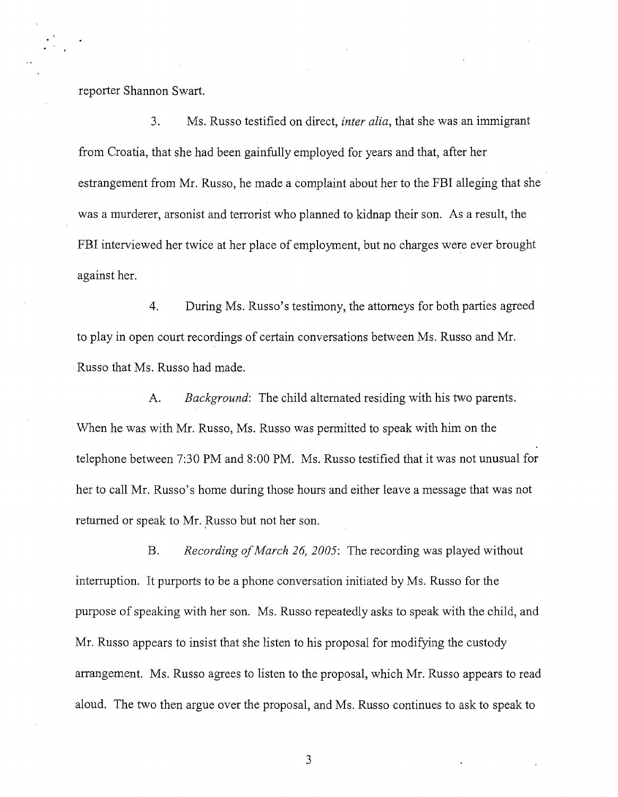reporter Shannon Swart.

3. Ms. Russo testified on direct, *inter alia,* that she was an immigrant from Croatia, that she had been gainfully employed for years and that, after her estrangement from Mr. Russo, he made a complaint about her to the FBI alleging that she was a murderer, arsonist and terrorist who planned to kidnap their son. As a result, the FBI interviewed her twice at her place of employment, but no charges were ever brought against her.

4. During Ms. Russo's testimony, the attorneys for both parties agreed to play in open court recordings of certain conversations between Ms. Russo and Mr. Russo that Ms. Russo had made.

A. *Background:* The child alternated residing with his two parents. When he was with Mr. Russo, Ms. Russo was permitted to speak with him on the telephone between 7:30 PM and 8:00 PM. Ms. Russo testified that it was not unusual for her to call Mr. Russo's home during those hours and either leave a message that was not returned or speak to Mr. Russo but not her son.

B. *Recording ofMarch* 26, *2005:* The recording was played without interruption. It purports to be a phone conversation initiated by Ms. Russo for the purpose of speaking with her son. Ms. Russo repeatedly asks to speak with the child, and Mr. Russo appears to insist that she listen to his proposal for modifying the custody arrangement. Ms. Russo agrees to listen to the proposal, which Mr. Russo appears to read aloud. The two then argue over the proposal, and Ms. Russo continues to ask to speak to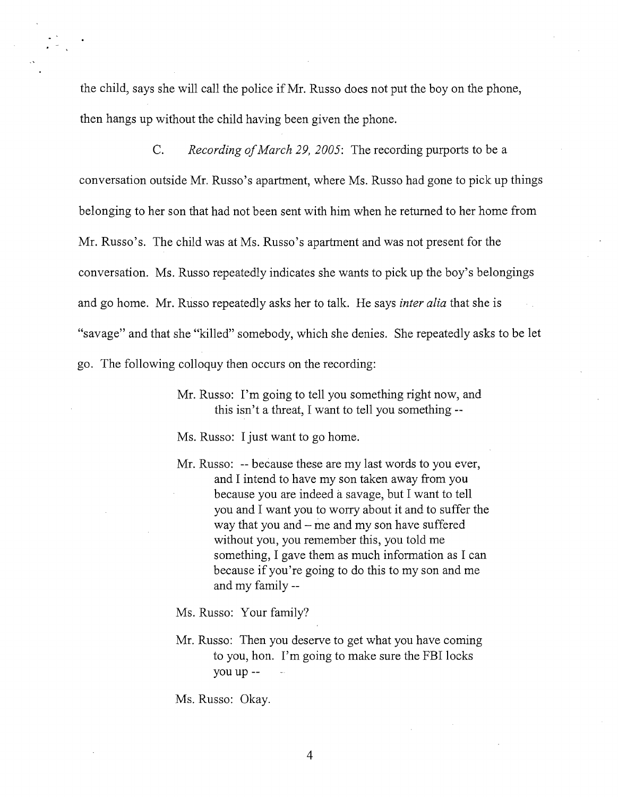the child, says she will call the police if Mr. Russo does not put the boy on the phone, then hangs up without the child having been given the phone.

C. *Recording ofMarch 29,2005:* The recording purports to be a conversation outside Mr. Russo's apartment, where Ms. Russo had gone to pick up things belonging to her son that had not been sent with him when he returned to her home from Mr. Russo's. The child was at Ms. Russo's apartment and was not present for the conversation. Ms. Russo repeatedly indicates she wants to pick up the boy's belongings and go home. Mr. Russo repeatedly asks her to talk. He says *inter alia* that she is "savage" and that she "killed" somebody, which she denies. She repeatedly asks to be let go. The following colloquy then occurs on the recording:

> Mr. Russo: I'm going to tell you something right now, and this isn't a threat, I want to tell you something **--**

Ms. Russo: I just want to go home.

Mr. Russo: **--** because these are my last words to you ever, and I intend to have my son taken away from you because you are indeed asavage, but I want to tell you and I want you to worry about it and to suffer the way that you and - me and my son have suffered without you, you remember this, you told me something, I gave them as much information as I can because if you're going to do this to my son and me and my **family--**

Ms. Russo: Your family?

Mr. Russo: Then you deserve to get what you have coming to you, hon. I'm going to make sure the FBI locks you **up--**

Ms. Russo: Okay.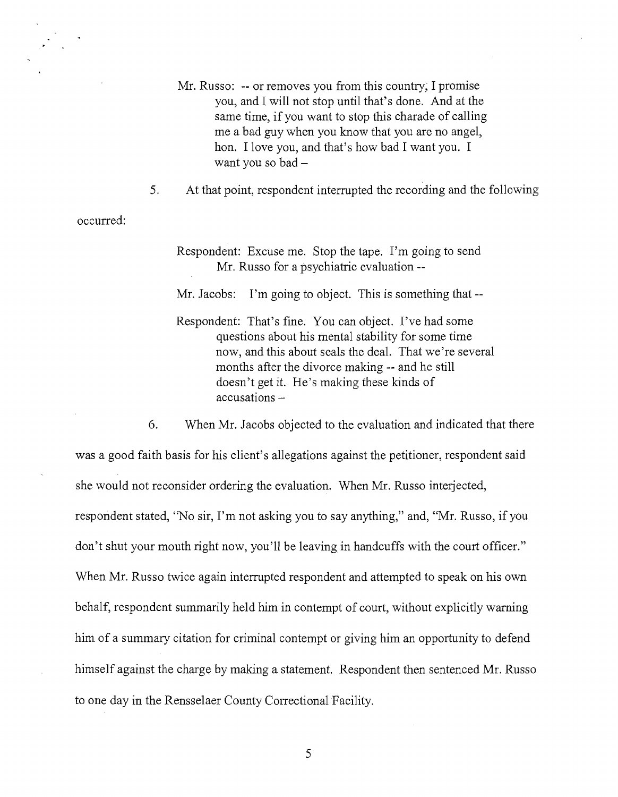- Mr. Russo: -- or removes you from this country; I promise you, and I will not stop until that's done. And at the same time, if you want to stop this charade of calling me a bad guy when you know that you are no angel, hon. I love you, and that's how bad I want you. I want you so bad -
- 5. At that point, respondent interrupted the recording and the following

occurred:

Respondent: Excuse me. Stop the tape. I'm going to send Mr. Russo for a psychiatric evaluation --

Mr. Jacobs: I'm going to object. This is something that --

Respondent: That's fine. You can object. I've had some questions about his mental stability for some time now, and this about seals the deal. That we're several months after the divorce making -- and he still doesn't get it. He's making these kinds of accusations -

6. When Mr. Jacobs objected to the evaluation and indicated that there

was a good faith basis for his client's allegations against the petitioner, respondent said she would not reconsider ordering the evaluation. When Mr. Russo interjected, respondent stated, "No sir, I'm not asking you to say anything," and, "Mr. Russo, if you don't shut your mouth right now, you'll be leaving in handcuffs with the court officer." When Mr. Russo twice again interrupted respondent and attempted to speak on his own behalf, respondent summarily held him in contempt of court, without explicitly warning him of a summary citation for criminal contempt or giving him an opportunity to defend himself against the charge by making a statement. Respondent then sentenced Mr. Russo to one day in the Rensselaer County Correctional Facility.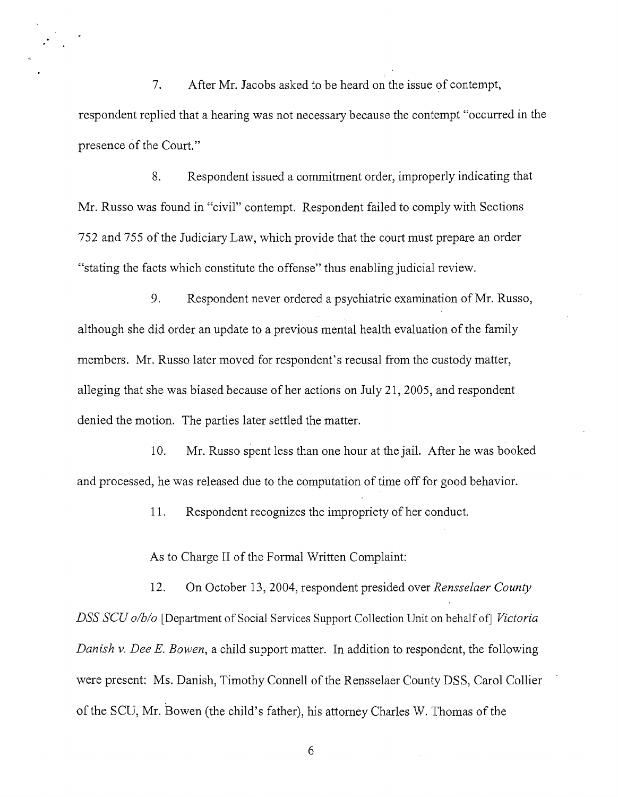7. After Mr. Jacobs asked to be heard on the issue of contempt, respondent replied that a hearing was not necessary because the contempt "occurred in the presence of the Court."

8. Respondent issued a commitment order, improperly indicating that Mr. Russo was found in "civil" contempt. Respondent failed to comply with Sections 752 and 755 of the Judiciary Law, which provide that the court must prepare an order "stating the facts which constitute the offense" thus enabling judicial review.

9. Respondent never ordered a psychiatric examination of Mr. Russo, although she did order an update to a previous mental health evaluation of the family members. Mr. Russo later moved for respondent's recusal from the custody matter, alleging that she was biased because of her actions on July 21,2005, and respondent denied the motion. The parties later settled the matter.

10. Mr. Russo spent less than one hour at the jail. After he was booked and processed, he was released due to the computation of time off for good behavior.

11. Respondent recognizes the impropriety of her conduct.

As to Charge II of the Formal Written Complaint:

12. On October 13,2004, respondent presided over *Rensselaer County DSS SCU o/b/o* [Department of Social Services Support Collection Unit on behalf of] *Victoria Danish v. Dee E. Bowen,* a child support matter. In addition to respondent, the following were present: Ms. Danish, Timothy Connell of the Rensselaer County DSS, Carol Collier of the SCU, Mr. Bowen (the child's father), his attorney Charles W. Thomas of the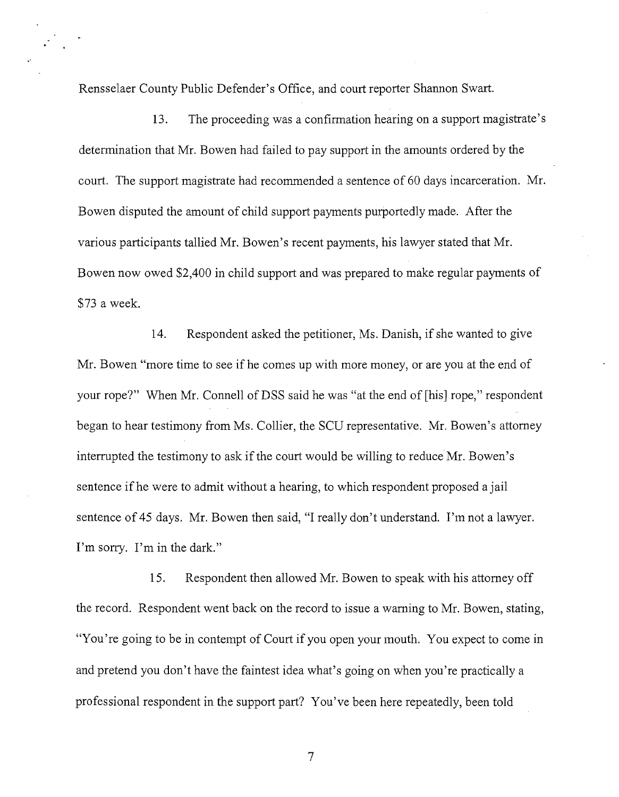Rensselaer County Public Defender's Office, and court reporter Shannon Swart.

.'

13. The proceeding was a confirmation hearing on a support magistrate's determination that Mr. Bowen had failed to pay support in the amounts ordered by the court. The support magistrate had recommended a sentence of 60 days incarceration. Mr. Bowen disputed the amount of child support payments purportedly made. After the various participants tallied Mr. Bowen's recent payments, his lawyer stated that Mr. Bowen now owed \$2,400 in child support and was prepared to make regular payments of \$73 a week.

14. Respondent asked the petitioner, Ms. Danish, if she wanted to give Mr. Bowen "more time to see if he comes up with more money, or are you at the end of your rope?" When Mr. Connell of DSS said he was "at the end of [his] rope," respondent began to hear testimony from Ms. Collier, the SCD representative. Mr. Bowen's attorney interrupted the testimony to ask if the court would be willing to reduce Mr. Bowen's sentence if he were to admit without a hearing, to which respondent proposed a jail sentence of 45 days. Mr. Bowen then said, "I really don't understand. I'm not a lawyer. I'm sorry. I'm in the dark."

15. Respondent then allowed Mr. Bowen to speak with his attorney off the record. Respondent went back on the record to issue a warning to Mr. Bowen, stating, "You're going to be in contempt of Court if you open your mouth. You expect to come in and pretend you don't have the faintest idea what's going on when you're practically a professional respondent in the support part? You've been here repeatedly, been told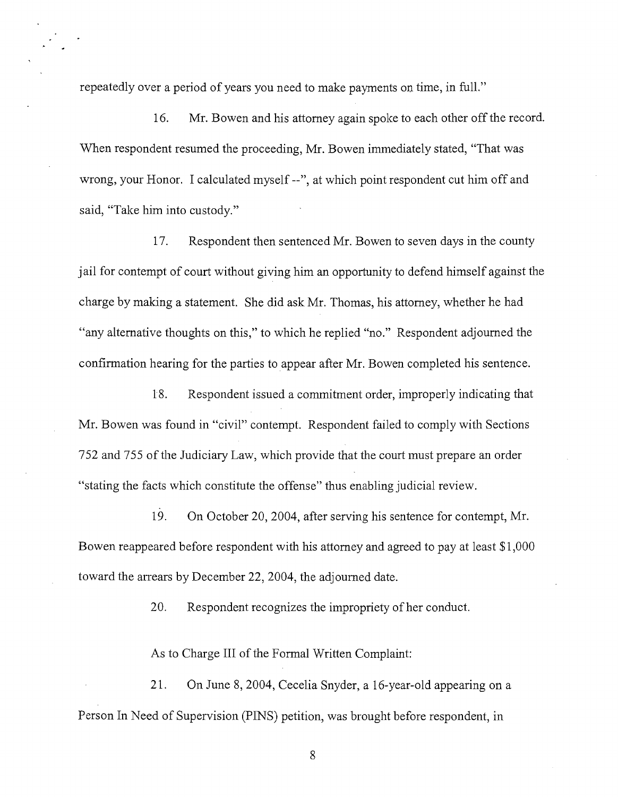repeatedly over a period of years you need to make payments on time, in full."

16. Mr. Bowen and his attorney again spoke to each other off the record. When respondent resumed the proceeding, Mr. Bowen immediately stated, "That was wrong, your Honor. I calculated myself --", at which point respondent cut him off and said, "Take him into custody."

17. Respondent then sentenced Mr. Bowen to seven days in the county jail for contempt of court without giving him an opportunity to defend himself against the charge by making a statement. She did ask Mr. Thomas, his attorney, whether he had "any alternative thoughts on this," to which he replied "no." Respondent adjourned the confirmation hearing for the parties to appear after Mr. Bowen completed his sentence.

18. Respondent issued a commitment order, improperly indicating that Mr. Bowen was found in "civil" contempt. Respondent failed to comply with Sections 752 and 755 of the Judiciary Law, which provide that the court must prepare an order "stating the facts which constitute the offense" thus enabling judicial review.

19. On October 20,2004, after serving his sentence for contempt, Mr. Bowen reappeared before respondent with his attorney and agreed to pay at least \$1,000 toward the arrears by December 22, 2004, the adjourned date.

20. Respondent recognizes the impropriety of her conduct.

As to Charge III of the Formal Written Complaint:

21. On June 8, 2004, Cecelia Snyder, a 16-year-old appearing on a Person In Need of Supervision (PINS) petition, was brought before respondent, in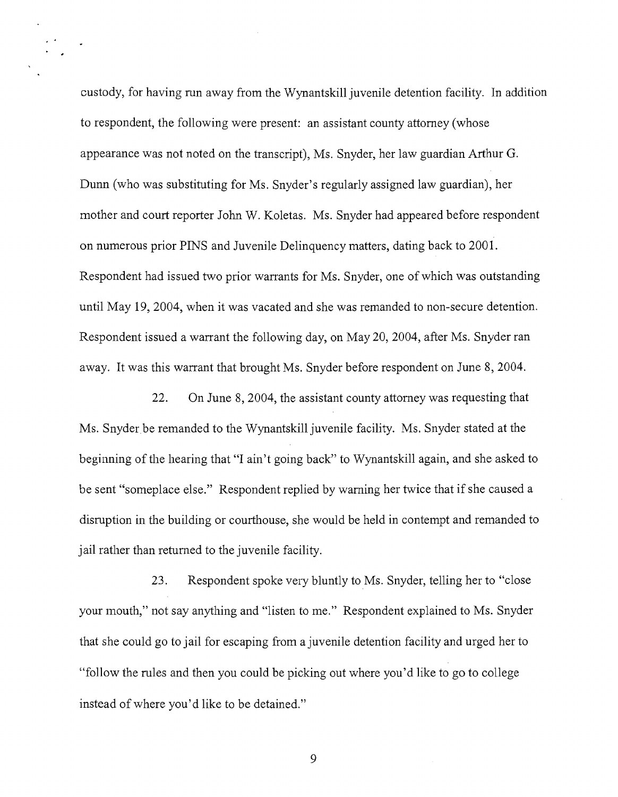custody, for having run away from the Wynantskill juvenile detention facility. In addition to respondent, the following were present: an assistant county attorney (whose appearance was not noted on the transcript), Ms. Snyder, her law guardian Arthur G. Dunn (who was substituting for Ms. Snyder's regularly assigned law guardian), her mother and court reporter John W. Koletas. Ms. Snyder had appeared before respondent on numerous prior PINS and Juvenile Delinquency matters, dating back to 2001. Respondent had issued two prior warrants for Ms. Snyder, one of which was outstanding until May 19, 2004, when it was vacated and she was remanded to non-secure detention. Respondent issued a warrant the following day, on May 20, 2004, after Ms. Snyder ran away. It was this warrant that brought Ms. Snyder before respondent on June 8, 2004.

22. On June 8,2004, the assistant county attorney was requesting that Ms. Snyder be remanded to the Wynantskill juvenile facility. Ms. Snyder stated at the beginning of the hearing that "I ain't going back" to Wynantskill again, and she asked to be sent "someplace else." Respondent replied by warning her twice that if she caused a disruption in the building or courthouse, she would be held in contempt and remanded to jail rather than returned to the juvenile facility.

23. Respondent spoke very bluntly to Ms. Snyder, telling her to "close your mouth," not say anything and "listen to me." Respondent explained to Ms. Snyder that she could go to jail for escaping from a juvenile detention facility and urged her to "follow the rules and then you could be picking out where you'd like to go to college instead of where you'd like to be detained."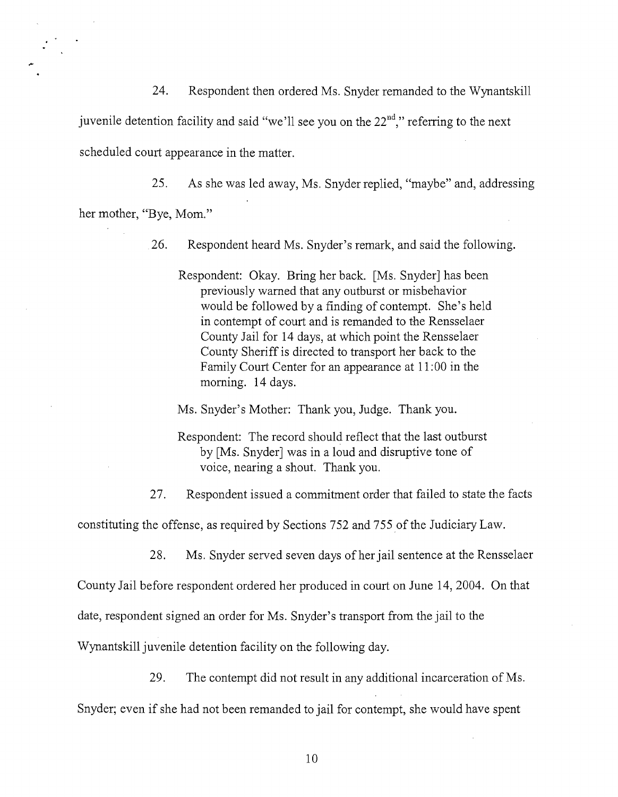24. Respondent then ordered Ms. Snyder remanded to the Wynantskill

juvenile detention facility and said "we'll see you on the  $22<sup>nd</sup>$ ," referring to the next

scheduled court appearance in the matter.

25. As she was led away, Ms. Snyder replied, "maybe" and, addressing

her mother, "Bye, Mom."

- 26. Respondent heard Ms. Snyder's remark, and said the following.
	- Respondent: Okay. Bring her back. [Ms. Snyder] has been previously warned that any outburst or misbehavior would be followed by a finding of contempt. She's held in contempt of court and is remanded to the Rensselaer County Jail for 14 days, at which point the Rensselaer County Sheriffis directed to transport her back to the Family Court Center for an appearance at 11: 00 in the morning. 14 days.
	- Ms. Snyder's Mother: Thank you, Judge. Thank you.
	- Respondent: The record should reflect that the last outburst by [Ms. Snyder] was in a loud and disruptive tone of voice, nearing a shout. Thank you.

27. Respondent issued a commitment order that failed to state the facts

constituting the offense, as required by Sections 752 and 755 of the Judiciary Law.

28. Ms. Snyder served seven days of her jail sentence at the Rensselaer

County Jail before respondent ordered her produced in court on June 14,2004. On that

date, respondent signed an order for Ms. Snyder's transport from the jail to the

Wynantskill juvenile detention facility on the following day.

29. The contempt did not result in any additional incarceration of Ms.

Snyder; even if she had not been remanded to jail for contempt, she would have spent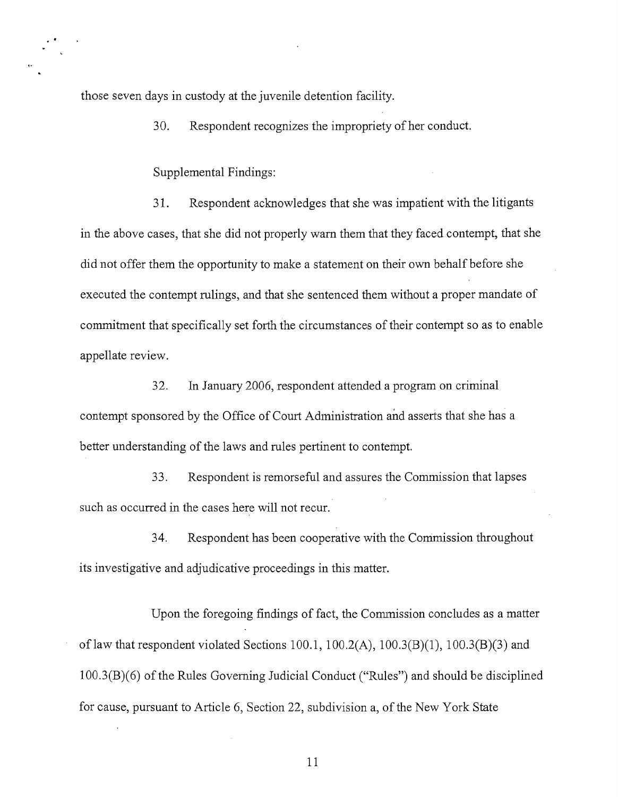those seven days in custody at the juvenile detention facility.

30. Respondent recognizes the impropriety of her conduct.

Supplemental Findings:

31. Respondent acknowledges that she was impatient with the litigants in the above cases, that she did not properly warn them that they faced contempt, that she did not offer them the opportunity to make a statement on their own behalf before she executed the contempt rulings, and that she sentenced them without a proper mandate of commitment that specifically set forth the circumstances of their contempt so as to enable appellate review.

32. In January 2006, respondent attended a program on criminal contempt sponsored by the Office of Court Administration and asserts that she has a better understanding of the laws and rules pertinent to contempt.

33. Respondent is remorseful and assures the Commission that lapses such as occurred in the cases here will not recur.

34. Respondent has been cooperative with the Commission throughout its investigative and adjudicative proceedings in this matter.

Upon the foregoing findings of fact, the Commission concludes as a matter of law that respondent violated Sections 100.1, 100.2(A), 100.3(B)(1), 100.3(B)(3) and  $100.3(B)(6)$  of the Rules Governing Judicial Conduct ("Rules") and should be disciplined for cause, pursuant to Article 6, Section 22, subdivision a, of the New York State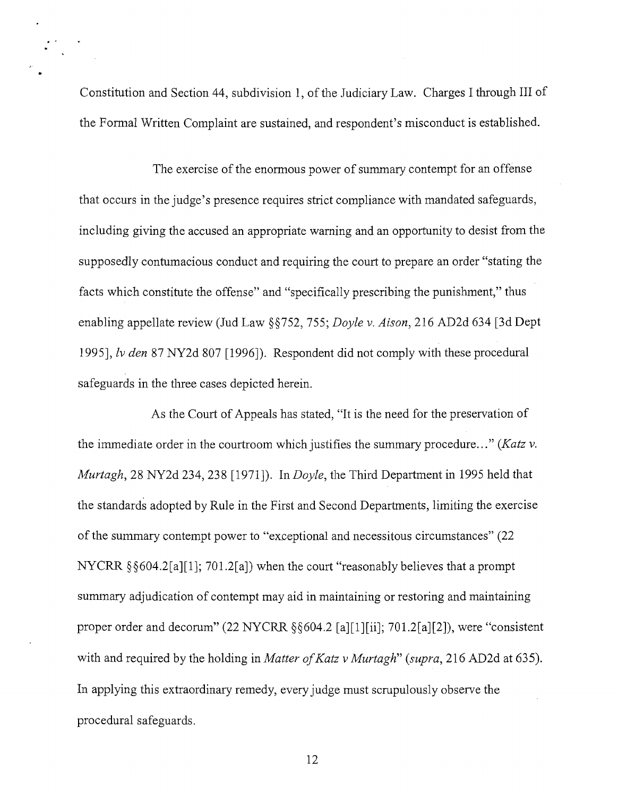Constitution and Section 44, subdivision 1, of the Judiciary Law. Charges I through III of the Formal Written Complaint are sustained, and respondent's misconduct is established.

The exercise of the enormous power of summary contempt for an offense that occurs in the judge's presence requires strict compliance with mandated safeguards, including giving the accused an appropriate warning and an opportunity to desist from the supposedly contumacious conduct and requiring the court to prepare an order "stating the facts which constitute the offense" and "specifically prescribing the punishment," thus enabling appellate review (Jud Law §§752, 755; *Doyle v. Aison,* 216 AD2d 634 [3d Dept 1995], Iv *den* 87 NY2d 807 [1996]). Respondent did not comply with these procedural safeguards in the three cases depicted herein.

As the Court of Appeals has stated, "It is the need for the preservation of the immediate order in the courtroom which justifies the summary procedure... " *(Katz v. Murtagh,* 28 NY2d 234,238 [1971]). In *Doyle,* the Third Department in 1995 held that the standards adopted by Rule in the First and Second Departments, limiting the exercise of the summary contempt power to "exceptional and necessitous circumstances" (22) NYCRR §§604.2[a][1]; 701.2[a]) when the court "reasonably believes that a prompt summary adjudication of contempt may aid in maintaining or restoring and maintaining proper order and decorum" (22 NYCRR §§604.2 [a][1][ii]; 701.2[a][2]), were "consistent with and required by the holding in *Matter of Katz v Murtagh*" (*supra*, 216 AD2d at 635). In applying this extraordinary remedy, every judge must scrupulously observe the procedural safeguards.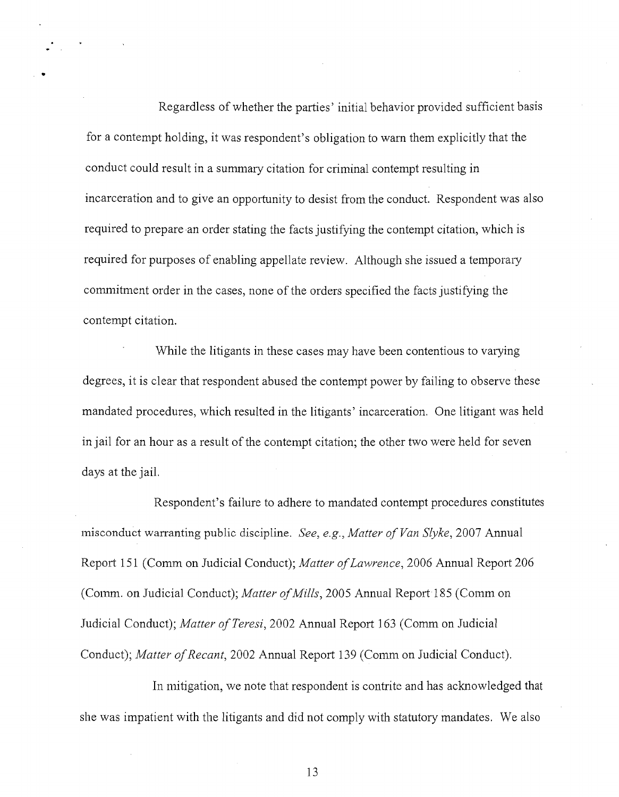Regardless of whether the parties' initial behavior provided sufficient basis for a contempt holding, it was respondent's obligation to warn them explicitly that the conduct could result in a summary citation for criminal contempt resulting in incarceration and to give an opportunity to desist from the conduct. Respondent was also required to prepare an order stating the facts justifying the contempt citation, which is required for purposes of enabling appellate review. Although she issued a temporary commitment order in the cases, none of the orders specified the facts justifying the contempt citation.

•

While the litigants in these cases may have been contentious to varying degrees, it is clear that respondent abused the contempt power by failing to observe these mandated procedures, which resulted in the litigants' incarceration. One litigant was held in jail for an hour as a result of the contempt citation; the other two were held for seven days at the jail.

Respondent's failure to adhere to mandated contempt procedures constitutes misconduct warranting public discipline. *See, e.g., Matter ofVan Slyke,* 2007 Annual Report 151 (Comm on Judicial Conduct); *Matter ofLawrence,* 2006 Annual Report 206 (Comm. on Judicial Conduct); *Matter of Mills*, 2005 Annual Report 185 (Comm on Judicial Conduct); *Matter of Teresi*, 2002 Annual Report 163 (Comm on Judicial Conduct); *Matter of Recant*, 2002 Annual Report 139 (Comm on Judicial Conduct).

In mitigation, we note that respondent is contrite and has acknowledged that she was impatient with the litigants and did not comply with statutory mandates. We also